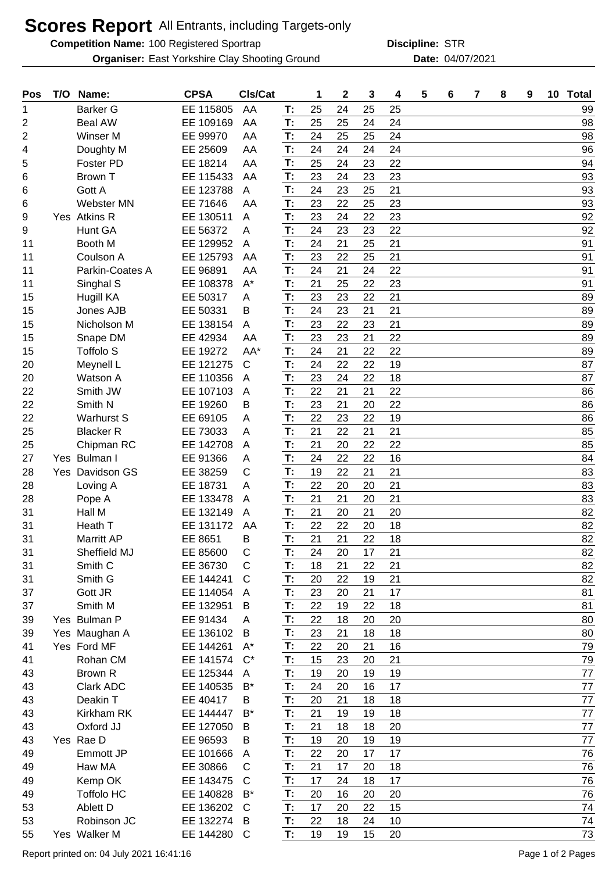## **Scores Report** All Entrants, including Targets-only

**Competition Name:** 100 Registered Sportrap **STR STR** 

**Organiser:** East Yorkshire Clay Shooting Ground **Date:** 04/07/2021

**Discipline:**

| Pos |      | T/O Name:          | <b>CPSA</b> | Cls/Cat      |    | 1  | 2  | 3  | 4  | 5 | 6 | 7 | 8 | 9 | 10 Total |
|-----|------|--------------------|-------------|--------------|----|----|----|----|----|---|---|---|---|---|----------|
| 1   |      | <b>Barker G</b>    | EE 115805   | AA           | T: | 25 | 24 | 25 | 25 |   |   |   |   |   | 99       |
| 2   |      | <b>Beal AW</b>     | EE 109169   | AA           | T: | 25 | 25 | 24 | 24 |   |   |   |   |   | 98       |
| 2   |      | Winser M           | EE 99970    | AA           | T: | 24 | 25 | 25 | 24 |   |   |   |   |   | 98       |
| 4   |      | Doughty M          | EE 25609    | AA           | T: | 24 | 24 | 24 | 24 |   |   |   |   |   | 96       |
| 5   |      | Foster PD          | EE 18214    | AA           | T: | 25 | 24 | 23 | 22 |   |   |   |   |   | 94       |
| 6   |      | Brown T            | EE 115433   | AA           | T: | 23 | 24 | 23 | 23 |   |   |   |   |   | 93       |
| 6   |      | Gott A             | EE 123788   | A            | T: | 24 | 23 | 25 | 21 |   |   |   |   |   | 93       |
| 6   |      | <b>Webster MN</b>  | EE 71646    | AA           | T: | 23 | 22 | 25 | 23 |   |   |   |   |   | 93       |
| 9   |      | Yes Atkins R       | EE 130511   | A            | T: | 23 | 24 | 22 | 23 |   |   |   |   |   | 92       |
| 9   |      | Hunt GA            | EE 56372    | A            | T: | 24 | 23 | 23 | 22 |   |   |   |   |   | 92       |
| 11  |      | Booth M            | EE 129952   | A            | T: | 24 | 21 | 25 | 21 |   |   |   |   |   | 91       |
| 11  |      | Coulson A          | EE 125793   | AA           | T: | 23 | 22 | 25 | 21 |   |   |   |   |   | 91       |
| 11  |      | Parkin-Coates A    | EE 96891    | AA           | T: | 24 | 21 | 24 | 22 |   |   |   |   |   | 91       |
| 11  |      | Singhal S          | EE 108378   | $A^*$        | T: | 21 | 25 | 22 | 23 |   |   |   |   |   | 91       |
| 15  |      | <b>Hugill KA</b>   | EE 50317    | A            | T: | 23 | 23 | 22 | 21 |   |   |   |   |   | 89       |
| 15  |      | Jones AJB          | EE 50331    | B            | T: | 24 | 23 | 21 | 21 |   |   |   |   |   | 89       |
| 15  |      | Nicholson M        | EE 138154   | A            | T: | 23 | 22 | 23 | 21 |   |   |   |   |   | 89       |
| 15  |      | Snape DM           | EE 42934    | AA           | T: | 23 | 23 | 21 | 22 |   |   |   |   |   | 89       |
| 15  |      | <b>Toffolo S</b>   | EE 19272    | AA*          | T: | 24 | 21 | 22 | 22 |   |   |   |   |   | 89       |
| 20  |      | Meynell L          | EE 121275   | $\mathsf{C}$ | T: | 24 | 22 | 22 | 19 |   |   |   |   |   | 87       |
| 20  |      | Watson A           | EE 110356   | A            | T: | 23 | 24 | 22 | 18 |   |   |   |   |   | 87       |
| 22  |      | Smith JW           | EE 107103   | A            | T: | 22 | 21 | 21 | 22 |   |   |   |   |   | 86       |
| 22  |      | Smith N            | EE 19260    | B            | T: | 23 | 21 | 20 | 22 |   |   |   |   |   | 86       |
| 22  |      | <b>Warhurst S</b>  | EE 69105    | A            | T: | 22 | 23 | 22 | 19 |   |   |   |   |   | 86       |
| 25  |      | <b>Blacker R</b>   | EE 73033    | A            | T: | 21 | 22 | 21 | 21 |   |   |   |   |   | 85       |
| 25  |      | Chipman RC         | EE 142708   | A            | T: | 21 | 20 | 22 | 22 |   |   |   |   |   | 85       |
| 27  |      | Yes Bulman I       | EE 91366    | Α            | T: | 24 | 22 | 22 | 16 |   |   |   |   |   | 84       |
| 28  | Yes. | Davidson GS        | EE 38259    | С            | T: | 19 | 22 | 21 | 21 |   |   |   |   |   | 83       |
| 28  |      | Loving A           | EE 18731    | A            | T: | 22 | 20 | 20 | 21 |   |   |   |   |   | 83       |
| 28  |      | Pope A             | EE 133478   | A            | T: | 21 | 21 | 20 | 21 |   |   |   |   |   | 83       |
| 31  |      | Hall M             | EE 132149   | A            | T: | 21 | 20 | 21 | 20 |   |   |   |   |   | 82       |
| 31  |      | Heath T            | EE 131172   | AA           | T: | 22 | 22 | 20 | 18 |   |   |   |   |   | 82       |
| 31  |      | Marritt AP         | EE 8651     | Β            | T: | 21 | 21 | 22 | 18 |   |   |   |   |   | 82       |
| 31  |      | Sheffield MJ       | EE 85600    | C            | T: | 24 | 20 | 17 | 21 |   |   |   |   |   | 82       |
| 31  |      | Smith <sub>C</sub> | EE 36730    | С            | T: | 18 | 21 | 22 | 21 |   |   |   |   |   | 82       |
| 31  |      | Smith G            | EE 144241   | $\mathsf{C}$ | T: | 20 | 22 | 19 | 21 |   |   |   |   |   | 82       |
| 37  |      | Gott JR            | EE 114054   | A            | T: | 23 | 20 | 21 | 17 |   |   |   |   |   | 81       |
| 37  |      | Smith M            | EE 132951   | B            | T: | 22 | 19 | 22 | 18 |   |   |   |   |   | 81       |
| 39  |      | Yes Bulman P       | EE 91434    | Α            | T: | 22 | 18 | 20 | 20 |   |   |   |   |   | 80       |
| 39  |      | Yes Maughan A      | EE 136102   | B            | T: | 23 | 21 | 18 | 18 |   |   |   |   |   | 80       |
| 41  |      | Yes Ford MF        | EE 144261   | $A^*$        | T: | 22 | 20 | 21 | 16 |   |   |   |   |   | 79       |
| 41  |      | Rohan CM           | EE 141574   | $C^*$        | T: | 15 | 23 | 20 | 21 |   |   |   |   |   | 79       |
| 43  |      | Brown R            | EE 125344   | A            | T: | 19 | 20 | 19 | 19 |   |   |   |   |   | 77       |
| 43  |      | Clark ADC          | EE 140535   | $B^*$        | T: | 24 | 20 | 16 | 17 |   |   |   |   |   | 77       |
| 43  |      | Deakin T           | EE 40417    | B            | Т: | 20 | 21 | 18 | 18 |   |   |   |   |   | 77       |
| 43  |      | Kirkham RK         | EE 144447   | $B^*$        | T: | 21 | 19 | 19 | 18 |   |   |   |   |   | 77       |
| 43  |      | Oxford JJ          | EE 127050   | B            | T: | 21 | 18 | 18 | 20 |   |   |   |   |   | 77       |
| 43  |      | Yes Rae D          | EE 96593    | B            | T: | 19 | 20 | 19 | 19 |   |   |   |   |   | 77       |
| 49  |      | Emmott JP          | EE 101666   | A            | T: | 22 | 20 | 17 | 17 |   |   |   |   |   | 76       |
| 49  |      | Haw MA             | EE 30866    | С            | T: | 21 | 17 | 20 | 18 |   |   |   |   |   | 76       |
| 49  |      | Kemp OK            | EE 143475   | $\mathsf{C}$ | T: | 17 | 24 | 18 | 17 |   |   |   |   |   | 76       |
| 49  |      | <b>Toffolo HC</b>  | EE 140828   | $B^*$        | Т: | 20 | 16 | 20 | 20 |   |   |   |   |   | 76       |
| 53  |      | Ablett D           | EE 136202   | $\mathsf{C}$ | T: | 17 | 20 | 22 | 15 |   |   |   |   |   | 74       |
| 53  |      | Robinson JC        | EE 132274   | B            | T: | 22 | 18 | 24 | 10 |   |   |   |   |   | 74       |
| 55  |      | Yes Walker M       | EE 144280   | C            | T: | 19 | 19 | 15 | 20 |   |   |   |   |   | $73\,$   |
|     |      |                    |             |              |    |    |    |    |    |   |   |   |   |   |          |